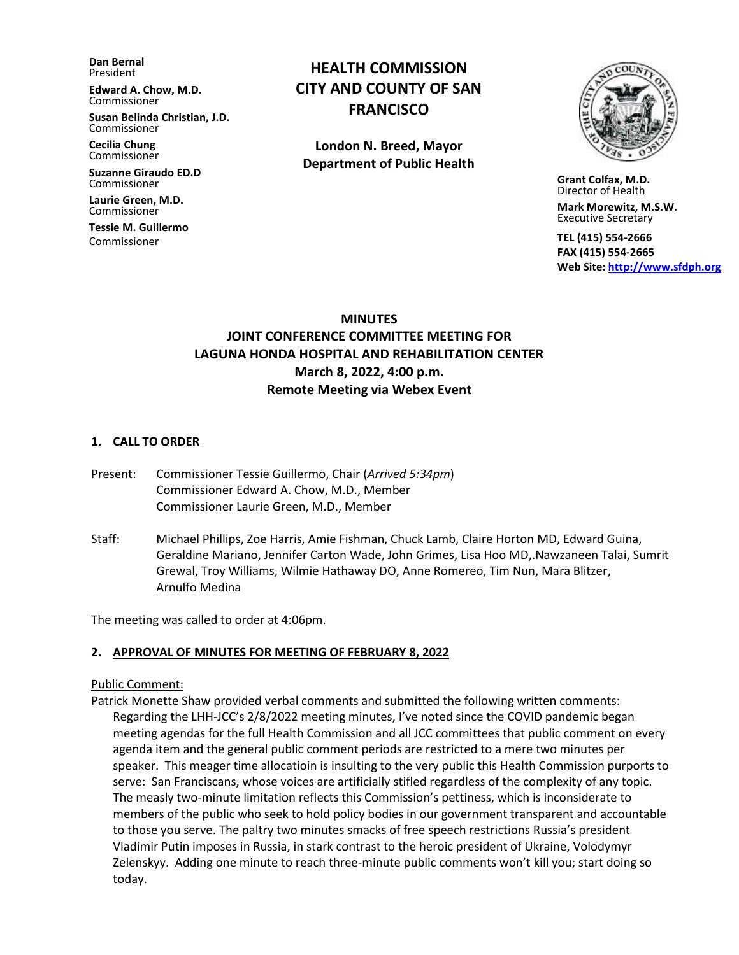**Dan Bernal** President

**Edward A. Chow, M.D.** Commissioner

**Susan Belinda Christian, J.D.** Commissioner

**Cecilia Chung**  Commissioner

**Suzanne Giraudo ED.D** Commissioner

**Laurie Green, M.D.** Commissioner

**Tessie M. Guillermo** Commissioner

# **HEALTH COMMISSION CITY AND COUNTY OF SAN FRANCISCO**

**London N. Breed, Mayor Department of Public Health**



 **Grant Colfax, M.D.** Director of Health

 **Mark Morewitz, M.S.W.**  Executive Secretary

 **TEL (415) 554-2666 FAX (415) 554-2665 Web Site: [http://www.sfdph.org](http://www.sfdph.org/)**

## **MINUTES JOINT CONFERENCE COMMITTEE MEETING FOR LAGUNA HONDA HOSPITAL AND REHABILITATION CENTER March 8, 2022, 4:00 p.m. Remote Meeting via Webex Event**

#### **1. CALL TO ORDER**

- Present: Commissioner Tessie Guillermo, Chair (*Arrived 5:34pm*) Commissioner Edward A. Chow, M.D., Member Commissioner Laurie Green, M.D., Member
- Staff: Michael Phillips, Zoe Harris, Amie Fishman, Chuck Lamb, Claire Horton MD, Edward Guina, Geraldine Mariano, Jennifer Carton Wade, John Grimes, Lisa Hoo MD,.Nawzaneen Talai, Sumrit Grewal, Troy Williams, Wilmie Hathaway DO, Anne Romereo, Tim Nun, Mara Blitzer, Arnulfo Medina

The meeting was called to order at 4:06pm.

#### **2. APPROVAL OF MINUTES FOR MEETING OF FEBRUARY 8, 2022**

#### Public Comment:

Patrick Monette Shaw provided verbal comments and submitted the following written comments: Regarding the LHH-JCC's 2/8/2022 meeting minutes, I've noted since the COVID pandemic began meeting agendas for the full Health Commission and all JCC committees that public comment on every agenda item and the general public comment periods are restricted to a mere two minutes per speaker. This meager time allocatioin is insulting to the very public this Health Commission purports to serve: San Franciscans, whose voices are artificially stifled regardless of the complexity of any topic. The measly two-minute limitation reflects this Commission's pettiness, which is inconsiderate to members of the public who seek to hold policy bodies in our government transparent and accountable to those you serve. The paltry two minutes smacks of free speech restrictions Russia's president Vladimir Putin imposes in Russia, in stark contrast to the heroic president of Ukraine, Volodymyr Zelenskyy. Adding one minute to reach three-minute public comments won't kill you; start doing so today.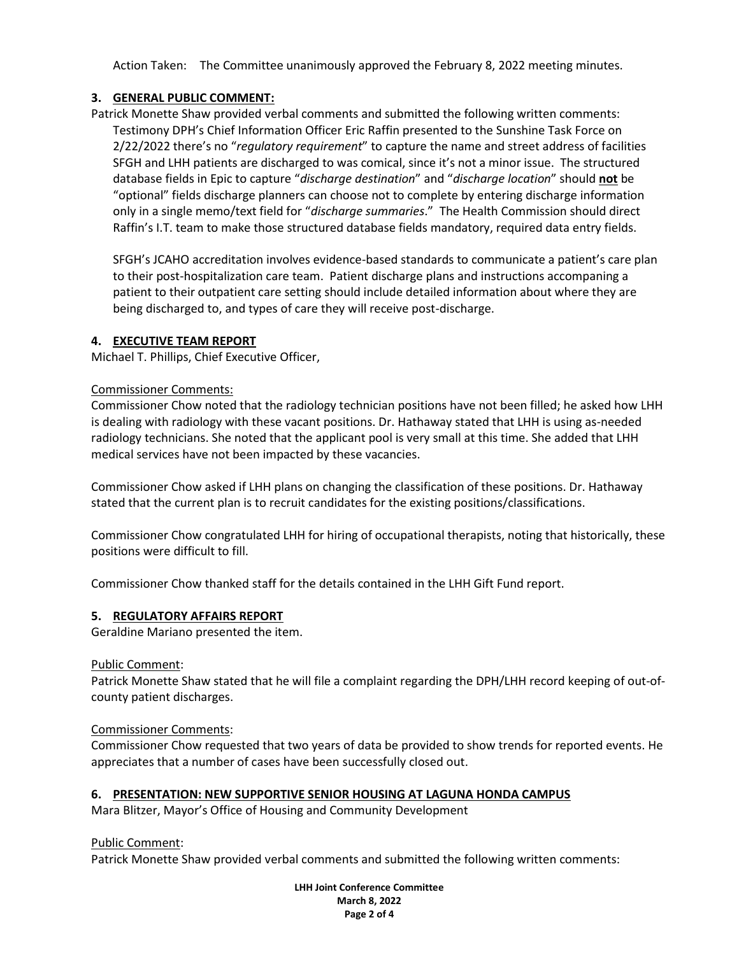Action Taken: The Committee unanimously approved the February 8, 2022 meeting minutes.

## **3. GENERAL PUBLIC COMMENT:**

Patrick Monette Shaw provided verbal comments and submitted the following written comments: Testimony DPH's Chief Information Officer Eric Raffin presented to the Sunshine Task Force on 2/22/2022 there's no "*regulatory requirement*" to capture the name and street address of facilities SFGH and LHH patients are discharged to was comical, since it's not a minor issue. The structured database fields in Epic to capture "*discharge destination*" and "*discharge location*" should **not** be "optional" fields discharge planners can choose not to complete by entering discharge information only in a single memo/text field for "*discharge summaries*." The Health Commission should direct Raffin's I.T. team to make those structured database fields mandatory, required data entry fields.

SFGH's JCAHO accreditation involves evidence-based standards to communicate a patient's care plan to their post-hospitalization care team. Patient discharge plans and instructions accompaning a patient to their outpatient care setting should include detailed information about where they are being discharged to, and types of care they will receive post-discharge.

## **4. EXECUTIVE TEAM REPORT**

Michael T. Phillips, Chief Executive Officer,

## Commissioner Comments:

Commissioner Chow noted that the radiology technician positions have not been filled; he asked how LHH is dealing with radiology with these vacant positions. Dr. Hathaway stated that LHH is using as-needed radiology technicians. She noted that the applicant pool is very small at this time. She added that LHH medical services have not been impacted by these vacancies.

Commissioner Chow asked if LHH plans on changing the classification of these positions. Dr. Hathaway stated that the current plan is to recruit candidates for the existing positions/classifications.

Commissioner Chow congratulated LHH for hiring of occupational therapists, noting that historically, these positions were difficult to fill.

Commissioner Chow thanked staff for the details contained in the LHH Gift Fund report.

## **5. REGULATORY AFFAIRS REPORT**

Geraldine Mariano presented the item.

#### Public Comment:

Patrick Monette Shaw stated that he will file a complaint regarding the DPH/LHH record keeping of out-ofcounty patient discharges.

#### Commissioner Comments:

Commissioner Chow requested that two years of data be provided to show trends for reported events. He appreciates that a number of cases have been successfully closed out.

#### **6. PRESENTATION: NEW SUPPORTIVE SENIOR HOUSING AT LAGUNA HONDA CAMPUS**

Mara Blitzer, Mayor's Office of Housing and Community Development

Public Comment:

Patrick Monette Shaw provided verbal comments and submitted the following written comments:

**LHH Joint Conference Committee March 8, 2022 Page 2 of 4**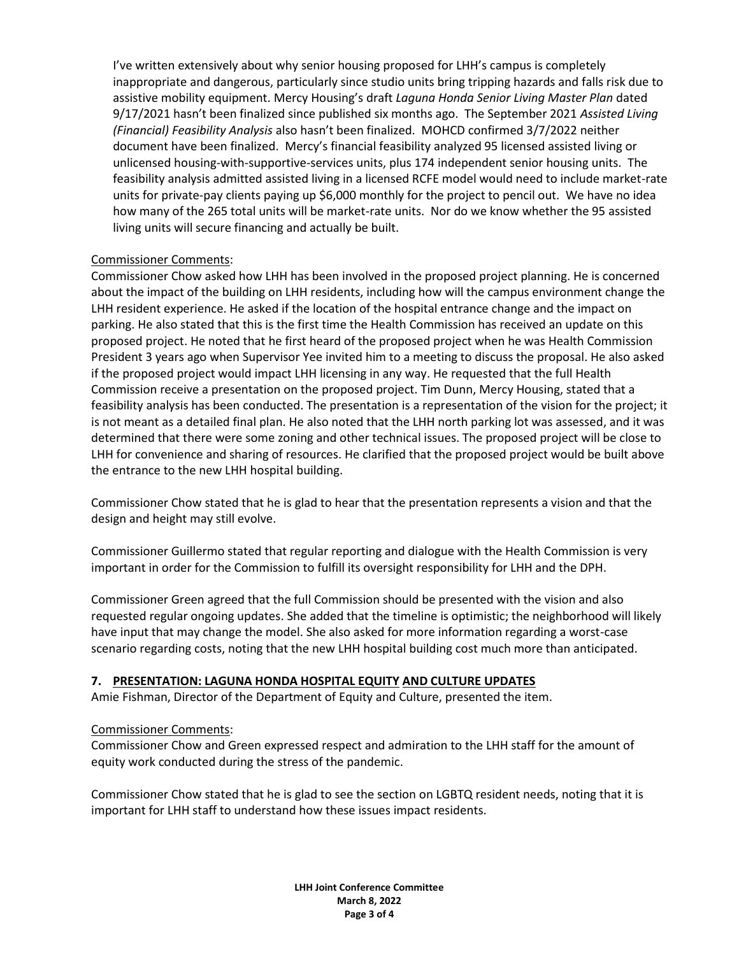I've written extensively about why senior housing proposed for LHH's campus is completely inappropriate and dangerous, particularly since studio units bring tripping hazards and falls risk due to assistive mobility equipment. Mercy Housing's draft *Laguna Honda Senior Living Master Plan* dated 9/17/2021 hasn't been finalized since published six months ago. The September 2021 *Assisted Living (Financial) Feasibility Analysis* also hasn't been finalized. MOHCD confirmed 3/7/2022 neither document have been finalized. Mercy's financial feasibility analyzed 95 licensed assisted living or unlicensed housing-with-supportive-services units, plus 174 independent senior housing units. The feasibility analysis admitted assisted living in a licensed RCFE model would need to include market-rate units for private-pay clients paying up \$6,000 monthly for the project to pencil out. We have no idea how many of the 265 total units will be market-rate units. Nor do we know whether the 95 assisted living units will secure financing and actually be built.

#### Commissioner Comments:

Commissioner Chow asked how LHH has been involved in the proposed project planning. He is concerned about the impact of the building on LHH residents, including how will the campus environment change the LHH resident experience. He asked if the location of the hospital entrance change and the impact on parking. He also stated that this is the first time the Health Commission has received an update on this proposed project. He noted that he first heard of the proposed project when he was Health Commission President 3 years ago when Supervisor Yee invited him to a meeting to discuss the proposal. He also asked if the proposed project would impact LHH licensing in any way. He requested that the full Health Commission receive a presentation on the proposed project. Tim Dunn, Mercy Housing, stated that a feasibility analysis has been conducted. The presentation is a representation of the vision for the project; it is not meant as a detailed final plan. He also noted that the LHH north parking lot was assessed, and it was determined that there were some zoning and other technical issues. The proposed project will be close to LHH for convenience and sharing of resources. He clarified that the proposed project would be built above the entrance to the new LHH hospital building.

Commissioner Chow stated that he is glad to hear that the presentation represents a vision and that the design and height may still evolve.

Commissioner Guillermo stated that regular reporting and dialogue with the Health Commission is very important in order for the Commission to fulfill its oversight responsibility for LHH and the DPH.

Commissioner Green agreed that the full Commission should be presented with the vision and also requested regular ongoing updates. She added that the timeline is optimistic; the neighborhood will likely have input that may change the model. She also asked for more information regarding a worst-case scenario regarding costs, noting that the new LHH hospital building cost much more than anticipated.

#### **7. PRESENTATION: LAGUNA HONDA HOSPITAL EQUITY AND CULTURE UPDATES**

Amie Fishman, Director of the Department of Equity and Culture, presented the item.

#### Commissioner Comments:

Commissioner Chow and Green expressed respect and admiration to the LHH staff for the amount of equity work conducted during the stress of the pandemic.

Commissioner Chow stated that he is glad to see the section on LGBTQ resident needs, noting that it is important for LHH staff to understand how these issues impact residents.

> **LHH Joint Conference Committee March 8, 2022 Page 3 of 4**